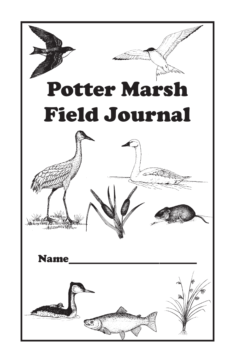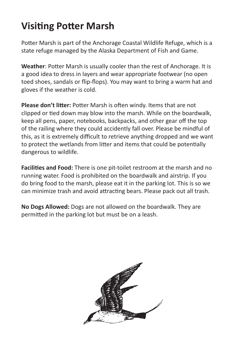### **Visiting Potter Marsh**

Potter Marsh is part of the Anchorage Coastal Wildlife Refuge, which is a state refuge managed by the Alaska Department of Fish and Game.

**Weather**: Potter Marsh is usually cooler than the rest of Anchorage. It is a good idea to dress in layers and wear appropriate footwear (no open toed shoes, sandals or flip-flops). You may want to bring a warm hat and gloves if the weather is cold.

**Please don't litter:** Potter Marsh is often windy. Items that are not clipped or tied down may blow into the marsh. While on the boardwalk, keep all pens, paper, notebooks, backpacks, and other gear off the top of the railing where they could accidently fall over. Please be mindful of this, as it is extremely difficult to retrieve anything dropped and we want to protect the wetlands from litter and items that could be potentially dangerous to wildlife.

**Facilities and Food:** There is one pit-toilet restroom at the marsh and no running water. Food is prohibited on the boardwalk and airstrip. If you do bring food to the marsh, please eat it in the parking lot. This is so we can minimize trash and avoid attracting bears. Please pack out all trash.

**No Dogs Allowed:** Dogs are not allowed on the boardwalk. They are permitted in the parking lot but must be on a leash.

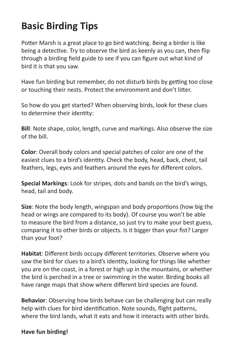### **Basic Birding Tips**

Potter Marsh is a great place to go bird watching. Being a birder is like being a detective. Try to observe the bird as keenly as you can, then flip through a birding field guide to see if you can figure out what kind of bird it is that you saw.

Have fun birding but remember, do not disturb birds by getting too close or touching their nests. Protect the environment and don't litter.

So how do you get started? When observing birds, look for these clues to determine their identity:

**Bill**: Note shape, color, length, curve and markings. Also observe the size of the bill.

**Color**: Overall body colors and special patches of color are one of the easiest clues to a bird's identity. Check the body, head, back, chest, tail feathers, legs, eyes and feathers around the eyes for different colors.

**Special Markings**: Look for stripes, dots and bands on the bird's wings, head, tail and body.

**Size**: Note the body length, wingspan and body proportions (how big the head or wings are compared to its body). Of course you won't be able to measure the bird from a distance, so just try to make your best guess, comparing it to other birds or objects. Is it bigger than your fist? Larger than your foot?

**Habitat**: Different birds occupy different territories. Observe where you saw the bird for clues to a bird's identity, looking for things like whether you are on the coast, in a forest or high up in the mountains, or whether the bird is perched in a tree or swimming in the water. Birding books all have range maps that show where different bird species are found.

**Behavior**: Observing how birds behave can be challenging but can really help with clues for bird identification. Note sounds, flight patterns, where the bird lands, what it eats and how it interacts with other birds.

#### **Have fun birding!**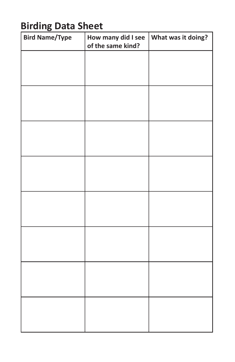## **Birding Data Sheet**

| <b>Bird Name/Type</b> | How many did I see<br>of the same kind? | What was it doing? |
|-----------------------|-----------------------------------------|--------------------|
|                       |                                         |                    |
|                       |                                         |                    |
|                       |                                         |                    |
|                       |                                         |                    |
|                       |                                         |                    |
|                       |                                         |                    |
|                       |                                         |                    |
|                       |                                         |                    |
|                       |                                         |                    |
|                       |                                         |                    |
|                       |                                         |                    |
|                       |                                         |                    |
|                       |                                         |                    |
|                       |                                         |                    |
|                       |                                         |                    |
|                       |                                         |                    |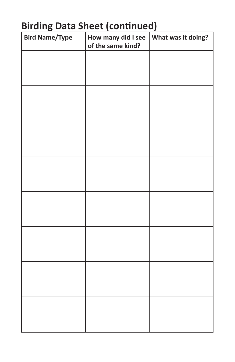### **Birding Data Sheet (continued)**

| <b>Bird Name/Type</b> | How many did I see<br>of the same kind? | What was it doing? |
|-----------------------|-----------------------------------------|--------------------|
|                       |                                         |                    |
|                       |                                         |                    |
|                       |                                         |                    |
|                       |                                         |                    |
|                       |                                         |                    |
|                       |                                         |                    |
|                       |                                         |                    |
|                       |                                         |                    |
|                       |                                         |                    |
|                       |                                         |                    |
|                       |                                         |                    |
|                       |                                         |                    |
|                       |                                         |                    |
|                       |                                         |                    |
|                       |                                         |                    |
|                       |                                         |                    |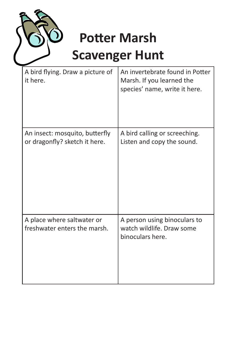

# **Potter Marsh Scavenger Hunt**

| A bird flying. Draw a picture of<br>it here.                    | An invertebrate found in Potter<br>Marsh. If you learned the<br>species' name, write it here. |
|-----------------------------------------------------------------|-----------------------------------------------------------------------------------------------|
| An insect: mosquito, butterfly<br>or dragonfly? sketch it here. | A bird calling or screeching.<br>Listen and copy the sound.                                   |
| A place where saltwater or<br>freshwater enters the marsh.      | A person using binoculars to<br>watch wildlife. Draw some<br>binoculars here.                 |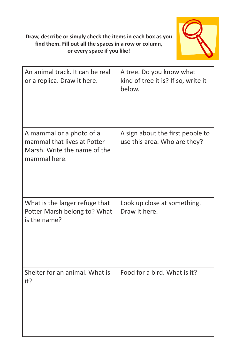

| An animal track. It can be real<br>or a replica. Draw it here.                                          | A tree. Do you know what<br>kind of tree it is? If so, write it<br>below. |
|---------------------------------------------------------------------------------------------------------|---------------------------------------------------------------------------|
| A mammal or a photo of a<br>mammal that lives at Potter<br>Marsh. Write the name of the<br>mammal here. | A sign about the first people to<br>use this area. Who are they?          |
| What is the larger refuge that<br>Potter Marsh belong to? What<br>is the name?                          | Look up close at something.<br>Draw it here.                              |
| Shelter for an animal. What is<br>it?                                                                   | Food for a bird. What is it?                                              |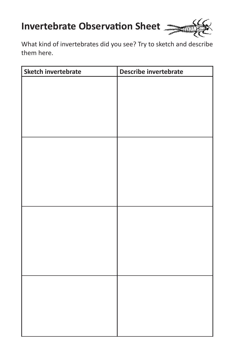**Invertebrate Observation Sheet** 

What kind of invertebrates did you see? Try to sketch and describe them here.

| Sketch invertebrate | Describe invertebrate |
|---------------------|-----------------------|
|                     |                       |
|                     |                       |
|                     |                       |
|                     |                       |
|                     |                       |
|                     |                       |
|                     |                       |
|                     |                       |
|                     |                       |
|                     |                       |
|                     |                       |
|                     |                       |
|                     |                       |
|                     |                       |
|                     |                       |
|                     |                       |
|                     |                       |
|                     |                       |
|                     |                       |
|                     |                       |
|                     |                       |
|                     |                       |
|                     |                       |
|                     |                       |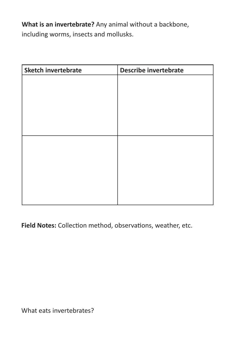**What is an invertebrate?** Any animal without a backbone, including worms, insects and mollusks.

| Sketch invertebrate | <b>Describe invertebrate</b> |
|---------------------|------------------------------|
|                     |                              |
|                     |                              |
|                     |                              |
|                     |                              |
|                     |                              |
|                     |                              |
|                     |                              |
|                     |                              |
|                     |                              |
|                     |                              |
|                     |                              |
|                     |                              |
|                     |                              |

**Field Notes:** Collection method, observations, weather, etc.

What eats invertebrates?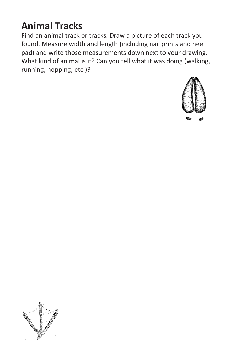### **Animal Tracks**

Find an animal track or tracks. Draw a picture of each track you found. Measure width and length (including nail prints and heel pad) and write those measurements down next to your drawing. What kind of animal is it? Can you tell what it was doing (walking, running, hopping, etc.)?



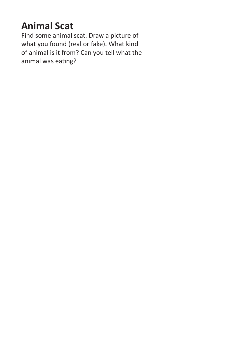### **Animal Scat**

Find some animal scat. Draw a picture of what you found (real or fake). What kind of animal is it from? Can you tell what the animal was eating?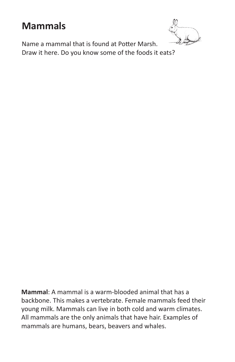### **Mammals**



Name a mammal that is found at Potter Marsh. Draw it here. Do you know some of the foods it eats?

**Mammal**: A mammal is a warm-blooded animal that has a backbone. This makes a vertebrate. Female mammals feed their young milk. Mammals can live in both cold and warm climates. All mammals are the only animals that have hair. Examples of mammals are humans, bears, beavers and whales.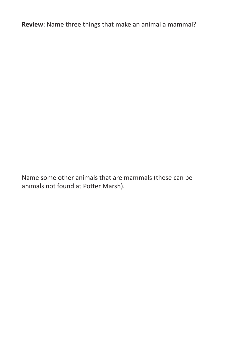**Review**: Name three things that make an animal a mammal?

Name some other animals that are mammals (these can be animals not found at Potter Marsh).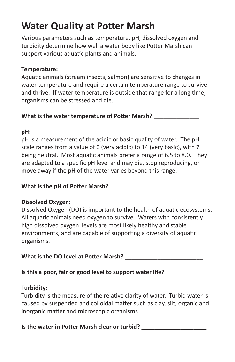### **Water Quality at Potter Marsh**

Various parameters such as temperature, pH, dissolved oxygen and turbidity determine how well a water body like Potter Marsh can support various aquatic plants and animals.

#### **Temperature:**

Aquatic animals (stream insects, salmon) are sensitive to changes in water temperature and require a certain temperature range to survive and thrive. If water temperature is outside that range for a long time, organisms can be stressed and die.

#### **What is the water temperature of Potter Marsh? \_\_\_\_\_\_\_\_\_\_\_\_\_\_**

#### **pH:**

pH is a measurement of the acidic or basic quality of water. The pH scale ranges from a value of 0 (very acidic) to 14 (very basic), with 7 being neutral. Most aquatic animals prefer a range of 6.5 to 8.0. They are adapted to a specific pH level and may die, stop reproducing, or move away if the pH of the water varies beyond this range.

#### **What is the pH of Potter Marsh? \_\_\_\_\_\_\_\_\_\_\_\_\_\_\_\_\_\_\_\_\_\_\_\_\_\_\_\_**

#### **Dissolved Oxygen:**

Dissolved Oxygen (DO) is important to the health of aquatic ecosystems. All aquatic animals need oxygen to survive. Waters with consistently high dissolved oxygen levels are most likely healthy and stable environments, and are capable of supporting a diversity of aquatic organisms.

What is the DO level at Potter Marsh?

Is this a poor, fair or good level to support water life?

#### **Turbidity:**

Turbidity is the measure of the relative clarity of water. Turbid water is caused by suspended and colloidal matter such as clay, silt, organic and inorganic matter and microscopic organisms.

**Is the water in Potter Marsh clear or turbid?**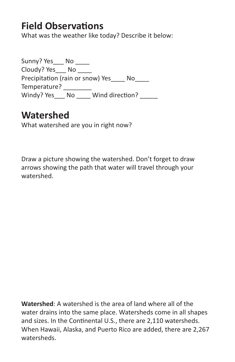### **Field Observations**

What was the weather like today? Describe it below:

Sunny? Yes No Cloudy? Yes No Precipitation (rain or snow) Yes No Temperature? \_\_\_\_\_\_\_\_ Windy? Yes\_\_\_ No \_\_\_\_ Wind direction? \_\_\_\_\_

### **Watershed**

What watershed are you in right now?

Draw a picture showing the watershed. Don't forget to draw arrows showing the path that water will travel through your watershed.

**Watershed**: A watershed is the area of land where all of the water drains into the same place. Watersheds come in all shapes and sizes. In the Continental U.S., there are 2,110 watersheds. When Hawaii, Alaska, and Puerto Rico are added, there are 2,267 watersheds.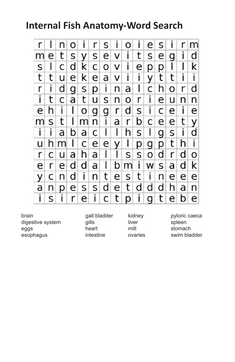### **Internal Fish Anatomy-Word Search**



brain **brain** gall bladder kidney pyloric caeca digestive system gills liver spleen eggs heart milt stomach esophagus intestine ovaries swim bladder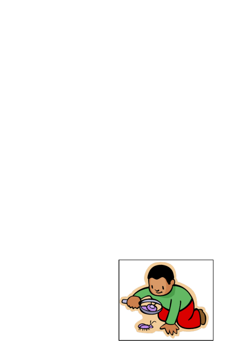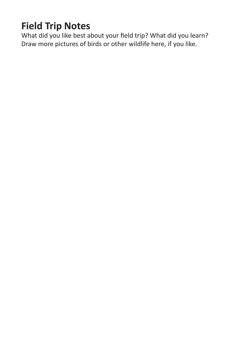### **Field Trip Notes**

What did you like best about your field trip? What did you learn? Draw more pictures of birds or other wildlife here, if you like.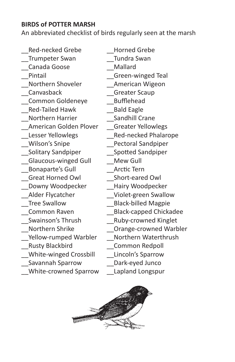#### **BIRDS of POTTER MARSH**

An abbreviated checklist of birds regularly seen at the marsh

Red-necked Grebe **Brand** Horned Grebe \_\_Trumpeter Swan \_\_Tundra Swan \_\_Canada Goose \_\_Mallard Pintail **Exercise Exercise Contract Contract Contract Contract Contract Contract Contract Contract Contract Contract Contract Contract Contract Contract Contract Contract Contract Contract Contract Contract Contract Contra** Northern Shoveler **American Wigeon** Canvasback **Eines Canvasback Canvasback Canvasback Cancer** Scaup \_\_Common Goldeneye \_\_Bufflehead Red-Tailed Hawk **Bald Eagle** \_\_Northern Harrier \_\_Sandhill Crane \_\_American Golden Plover \_\_Greater Yellowlegs Lesser Yellowlegs The Red-necked Phalarope \_\_Wilson's Snipe \_\_Pectoral Sandpiper \_\_Solitary Sandpiper \_\_Spotted Sandpiper \_\_Glaucous-winged Gull \_\_Mew Gull Bonaparte's Gull **And And And Arctic Tern** Great Horned Owl **Short-eared Owl** Downy Woodpecker **Hairy Woodpecker** Alder Flycatcher **Wiolet-green Swallow** Tree Swallow **Black-billed Magpie** Swainson's Thrush **Ruby-crowned Kinglet** \_\_Yellow-rumped Warbler \_\_Northern Waterthrush Rusty Blackbird **Common Redpoll** \_\_White-winged Crossbill \_\_Lincoln's Sparrow \_\_Savannah Sparrow \_\_Dark-eyed Junco

\_\_White-crowned Sparrow \_\_Lapland Longspur

- 
- 
- 
- 
- 
- 
- 
- 
- 
- 
- 
- 
- -
- 
- 
- 
- \_\_Common Raven \_\_Black-capped Chickadee
	-
- Northern Shrike **East Communist Communist Constructs** Orange-crowned Warbler
	-
	-
	-
	-
	-